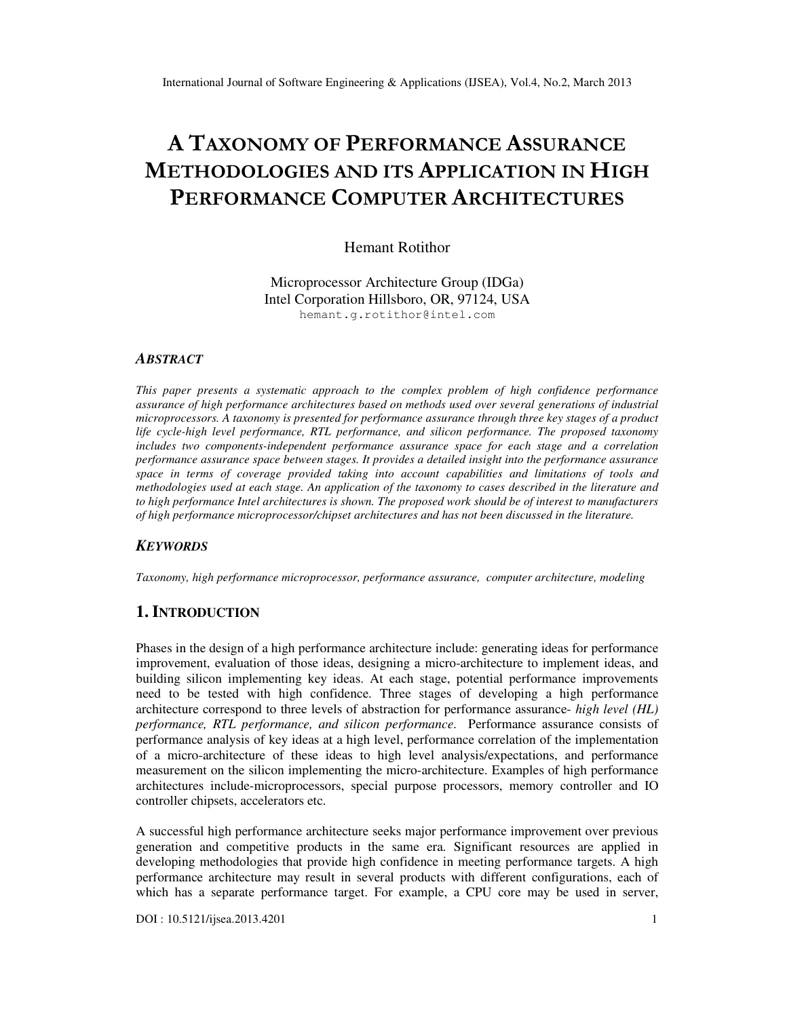# A TAXONOMY OF PERFORMANCE ASSURANCE METHODOLOGIES AND ITS APPLICATION IN HIGH PERFORMANCE COMPUTER ARCHITECTURES

# Hemant Rotithor

Microprocessor Architecture Group (IDGa) Intel Corporation Hillsboro, OR, 97124, USA hemant.g.rotithor@intel.com

#### *ABSTRACT*

*This paper presents a systematic approach to the complex problem of high confidence performance assurance of high performance architectures based on methods used over several generations of industrial microprocessors. A taxonomy is presented for performance assurance through three key stages of a product life cycle-high level performance, RTL performance, and silicon performance. The proposed taxonomy*  includes two components-independent performance assurance space for each stage and a correlation *performance assurance space between stages. It provides a detailed insight into the performance assurance space in terms of coverage provided taking into account capabilities and limitations of tools and methodologies used at each stage. An application of the taxonomy to cases described in the literature and to high performance Intel architectures is shown. The proposed work should be of interest to manufacturers of high performance microprocessor/chipset architectures and has not been discussed in the literature.* 

#### *KEYWORDS*

*Taxonomy, high performance microprocessor, performance assurance, computer architecture, modeling* 

# **1. INTRODUCTION**

Phases in the design of a high performance architecture include: generating ideas for performance improvement, evaluation of those ideas, designing a micro-architecture to implement ideas, and building silicon implementing key ideas. At each stage, potential performance improvements need to be tested with high confidence. Three stages of developing a high performance architecture correspond to three levels of abstraction for performance assurance- *high level (HL) performance, RTL performance, and silicon performance*. Performance assurance consists of performance analysis of key ideas at a high level, performance correlation of the implementation of a micro-architecture of these ideas to high level analysis/expectations, and performance measurement on the silicon implementing the micro-architecture. Examples of high performance architectures include-microprocessors, special purpose processors, memory controller and IO controller chipsets, accelerators etc.

A successful high performance architecture seeks major performance improvement over previous generation and competitive products in the same era. Significant resources are applied in developing methodologies that provide high confidence in meeting performance targets. A high performance architecture may result in several products with different configurations, each of which has a separate performance target. For example, a CPU core may be used in server,

DOI : 10.5121/ijsea.2013.4201 1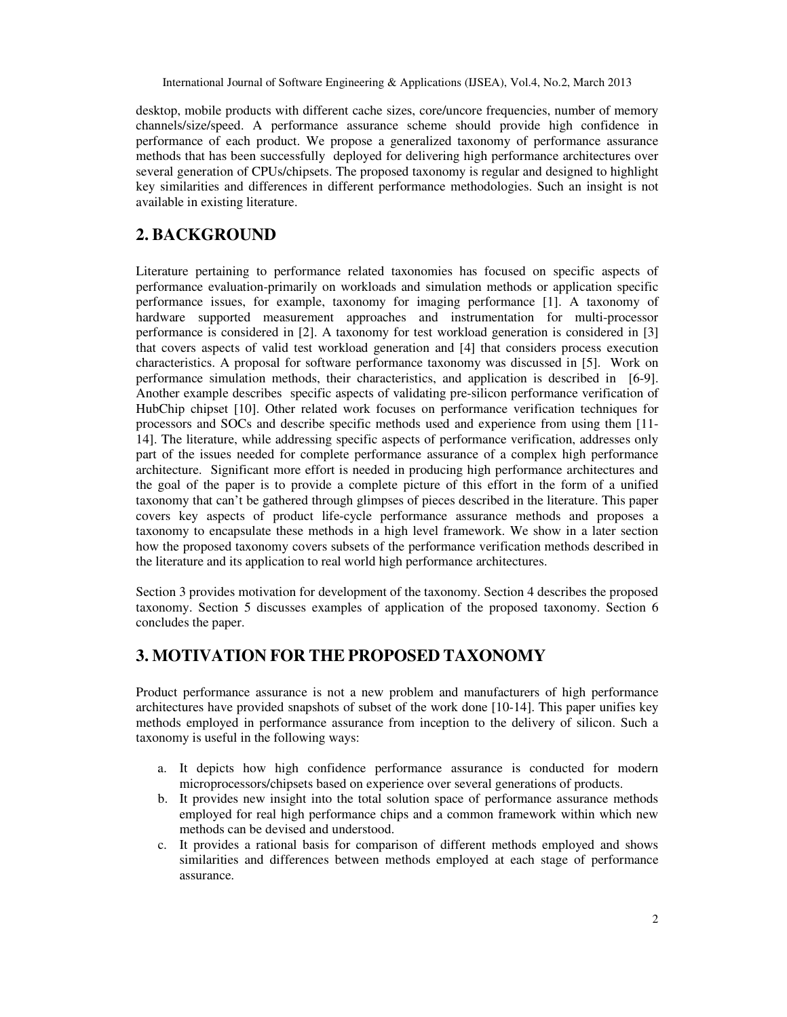desktop, mobile products with different cache sizes, core/uncore frequencies, number of memory channels/size/speed. A performance assurance scheme should provide high confidence in performance of each product. We propose a generalized taxonomy of performance assurance methods that has been successfully deployed for delivering high performance architectures over several generation of CPUs/chipsets. The proposed taxonomy is regular and designed to highlight key similarities and differences in different performance methodologies. Such an insight is not available in existing literature.

# **2. BACKGROUND**

Literature pertaining to performance related taxonomies has focused on specific aspects of performance evaluation-primarily on workloads and simulation methods or application specific performance issues, for example, taxonomy for imaging performance [1]. A taxonomy of hardware supported measurement approaches and instrumentation for multi-processor performance is considered in [2]. A taxonomy for test workload generation is considered in [3] that covers aspects of valid test workload generation and [4] that considers process execution characteristics. A proposal for software performance taxonomy was discussed in [5]. Work on performance simulation methods, their characteristics, and application is described in [6-9]. Another example describes specific aspects of validating pre-silicon performance verification of HubChip chipset [10]. Other related work focuses on performance verification techniques for processors and SOCs and describe specific methods used and experience from using them [11- 14]. The literature, while addressing specific aspects of performance verification, addresses only part of the issues needed for complete performance assurance of a complex high performance architecture. Significant more effort is needed in producing high performance architectures and the goal of the paper is to provide a complete picture of this effort in the form of a unified taxonomy that can't be gathered through glimpses of pieces described in the literature. This paper covers key aspects of product life-cycle performance assurance methods and proposes a taxonomy to encapsulate these methods in a high level framework. We show in a later section how the proposed taxonomy covers subsets of the performance verification methods described in the literature and its application to real world high performance architectures.

Section 3 provides motivation for development of the taxonomy. Section 4 describes the proposed taxonomy. Section 5 discusses examples of application of the proposed taxonomy. Section 6 concludes the paper.

# **3. MOTIVATION FOR THE PROPOSED TAXONOMY**

Product performance assurance is not a new problem and manufacturers of high performance architectures have provided snapshots of subset of the work done [10-14]. This paper unifies key methods employed in performance assurance from inception to the delivery of silicon. Such a taxonomy is useful in the following ways:

- a. It depicts how high confidence performance assurance is conducted for modern microprocessors/chipsets based on experience over several generations of products.
- b. It provides new insight into the total solution space of performance assurance methods employed for real high performance chips and a common framework within which new methods can be devised and understood.
- c. It provides a rational basis for comparison of different methods employed and shows similarities and differences between methods employed at each stage of performance assurance.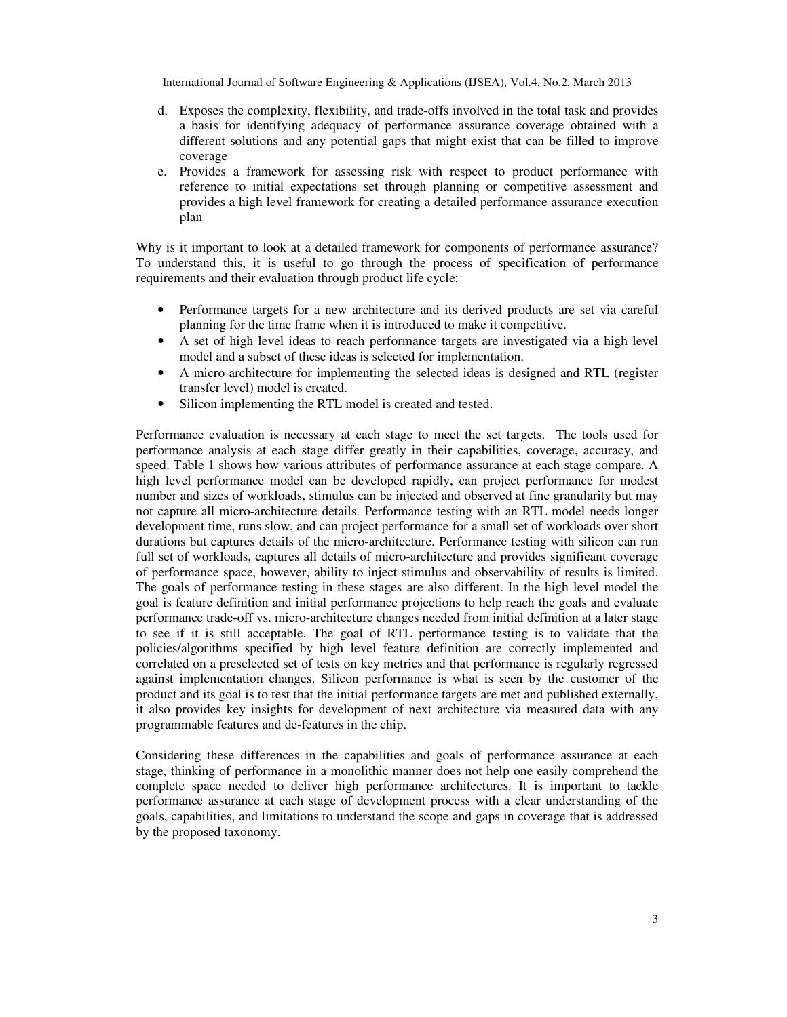- d. Exposes the complexity, flexibility, and trade-offs involved in the total task and provides a basis for identifying adequacy of performance assurance coverage obtained with a different solutions and any potential gaps that might exist that can be filled to improve coverage
- e. Provides a framework for assessing risk with respect to product performance with reference to initial expectations set through planning or competitive assessment and provides a high level framework for creating a detailed performance assurance execution plan

Why is it important to look at a detailed framework for components of performance assurance? To understand this, it is useful to go through the process of specification of performance requirements and their evaluation through product life cycle:

- Performance targets for a new architecture and its derived products are set via careful planning for the time frame when it is introduced to make it competitive.
- A set of high level ideas to reach performance targets are investigated via a high level model and a subset of these ideas is selected for implementation.
- A micro-architecture for implementing the selected ideas is designed and RTL (register transfer level) model is created.
- Silicon implementing the RTL model is created and tested.

Performance evaluation is necessary at each stage to meet the set targets. The tools used for performance analysis at each stage differ greatly in their capabilities, coverage, accuracy, and speed. Table 1 shows how various attributes of performance assurance at each stage compare. A high level performance model can be developed rapidly, can project performance for modest number and sizes of workloads, stimulus can be injected and observed at fine granularity but may not capture all micro-architecture details. Performance testing with an RTL model needs longer development time, runs slow, and can project performance for a small set of workloads over short durations but captures details of the micro-architecture. Performance testing with silicon can run full set of workloads, captures all details of micro-architecture and provides significant coverage of performance space, however, ability to inject stimulus and observability of results is limited. The goals of performance testing in these stages are also different. In the high level model the goal is feature definition and initial performance projections to help reach the goals and evaluate performance trade-off vs. micro-architecture changes needed from initial definition at a later stage to see if it is still acceptable. The goal of RTL performance testing is to validate that the policies/algorithms specified by high level feature definition are correctly implemented and correlated on a preselected set of tests on key metrics and that performance is regularly regressed against implementation changes. Silicon performance is what is seen by the customer of the product and its goal is to test that the initial performance targets are met and published externally, it also provides key insights for development of next architecture via measured data with any programmable features and de-features in the chip.

Considering these differences in the capabilities and goals of performance assurance at each stage, thinking of performance in a monolithic manner does not help one easily comprehend the complete space needed to deliver high performance architectures. It is important to tackle performance assurance at each stage of development process with a clear understanding of the goals, capabilities, and limitations to understand the scope and gaps in coverage that is addressed by the proposed taxonomy.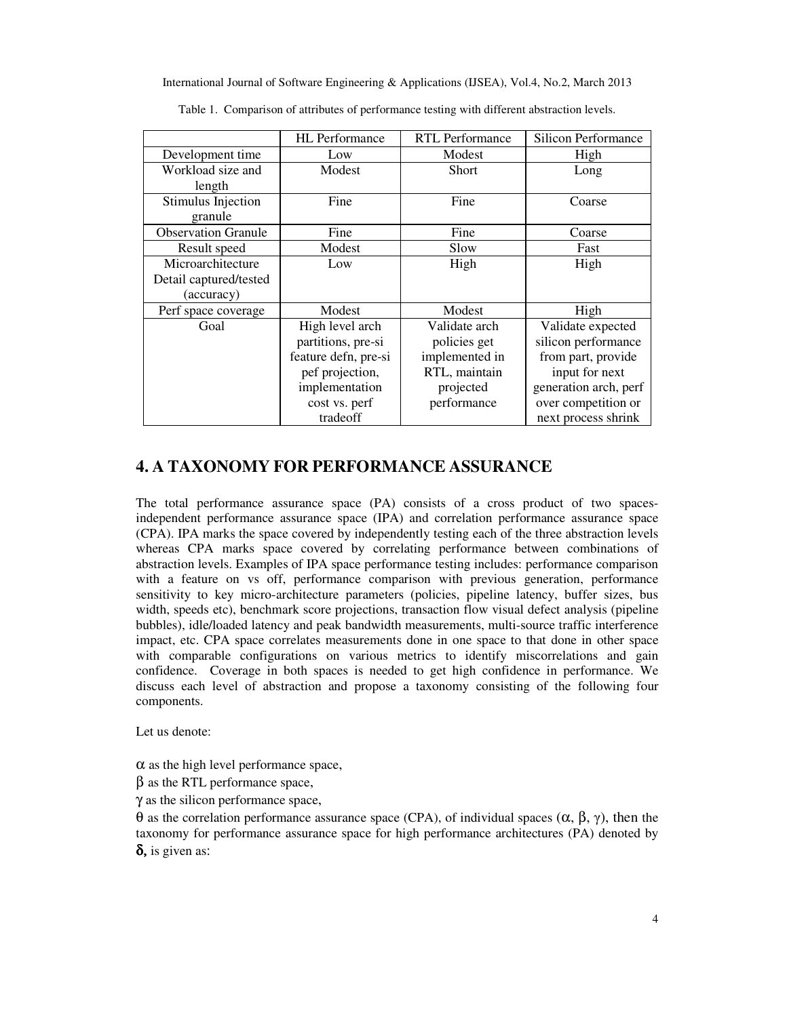|                            | <b>HL</b> Performance | RTL Performance | <b>Silicon Performance</b> |  |
|----------------------------|-----------------------|-----------------|----------------------------|--|
| Development time           | Low                   | Modest          | High                       |  |
| Workload size and          | Modest                | Short           | Long                       |  |
| length                     |                       |                 |                            |  |
| Stimulus Injection         | Fine                  | Fine            | Coarse                     |  |
| granule                    |                       |                 |                            |  |
| <b>Observation Granule</b> | Fine                  | Fine            | Coarse                     |  |
| Result speed               | Modest                | Slow            | Fast                       |  |
| Microarchitecture          | Low                   | High            | High                       |  |
| Detail captured/tested     |                       |                 |                            |  |
| (accuracy)                 |                       |                 |                            |  |
| Perf space coverage        | Modest                | Modest          | High                       |  |
| Goal                       | High level arch       | Validate arch   | Validate expected          |  |
|                            | partitions, pre-si    | policies get    | silicon performance        |  |
|                            | feature defn, pre-si  | implemented in  | from part, provide         |  |
|                            | pef projection,       | RTL, maintain   | input for next             |  |
|                            | implementation        | projected       | generation arch, perf      |  |
|                            | cost vs. perf         | performance     | over competition or        |  |
|                            | tradeoff              |                 | next process shrink        |  |

Table 1. Comparison of attributes of performance testing with different abstraction levels.

# **4. A TAXONOMY FOR PERFORMANCE ASSURANCE**

The total performance assurance space (PA) consists of a cross product of two spacesindependent performance assurance space (IPA) and correlation performance assurance space (CPA). IPA marks the space covered by independently testing each of the three abstraction levels whereas CPA marks space covered by correlating performance between combinations of abstraction levels. Examples of IPA space performance testing includes: performance comparison with a feature on vs off, performance comparison with previous generation, performance sensitivity to key micro-architecture parameters (policies, pipeline latency, buffer sizes, bus width, speeds etc), benchmark score projections, transaction flow visual defect analysis (pipeline bubbles), idle/loaded latency and peak bandwidth measurements, multi-source traffic interference impact, etc. CPA space correlates measurements done in one space to that done in other space with comparable configurations on various metrics to identify miscorrelations and gain confidence. Coverage in both spaces is needed to get high confidence in performance. We discuss each level of abstraction and propose a taxonomy consisting of the following four components.

Let us denote:

 $\alpha$  as the high level performance space,

 $β$  as the RTL performance space,

γ as the silicon performance space,

θ as the correlation performance assurance space (CPA), of individual spaces (α, β, γ), then the taxonomy for performance assurance space for high performance architectures (PA) denoted by  $\delta$ , is given as: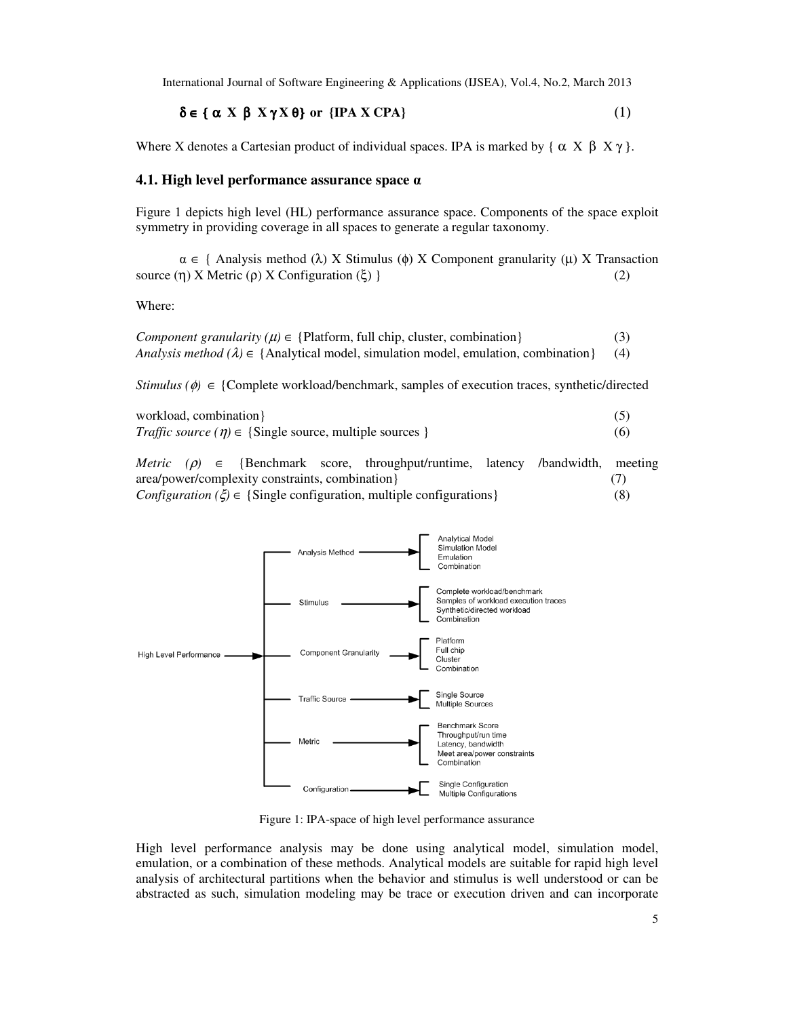$$
\delta \in \{ \alpha \ X \ \beta \ X \gamma X \ \theta \} \text{ or } \{ \text{IPA } X \ \text{CPA} \}
$$
 (1)

Where X denotes a Cartesian product of individual spaces. IPA is marked by {  $\alpha$  X  $\beta$  X  $\gamma$  }.

#### **4.1. High level performance assurance space** α

Figure 1 depicts high level (HL) performance assurance space. Components of the space exploit symmetry in providing coverage in all spaces to generate a regular taxonomy.

 $\alpha \in \{$  Analysis method ( $\lambda$ ) X Stimulus ( $\phi$ ) X Component granularity ( $\mu$ ) X Transaction source (η) X Metric (ρ) X Configuration (ξ) } (2)

Where:

*Component granularity* ( $\mu$ ) ∈ {Platform, full chip, cluster, combination} (3) *Analysis method* ( $\lambda$ ) ∈ {Analytical model, simulation model, emulation, combination} (4)

*Stimulus (* $\phi$ *)*  $\in$  {Complete workload/benchmark, samples of execution traces, synthetic/directed

| workload, combination                                                     |  |
|---------------------------------------------------------------------------|--|
| <i>Traffic source</i> ( $\eta$ ) $\in$ {Single source, multiple sources } |  |

*Metric*  $(\rho)$   $\in$  {Benchmark score, throughput/runtime, latency /bandwidth, meeting area/power/complexity constraints, combination} (7) *Configuration*  $(\xi) \in \{Single\ configuration, multiple\ configurations\}$  (8)



Figure 1: IPA-space of high level performance assurance

High level performance analysis may be done using analytical model, simulation model, emulation, or a combination of these methods. Analytical models are suitable for rapid high level analysis of architectural partitions when the behavior and stimulus is well understood or can be abstracted as such, simulation modeling may be trace or execution driven and can incorporate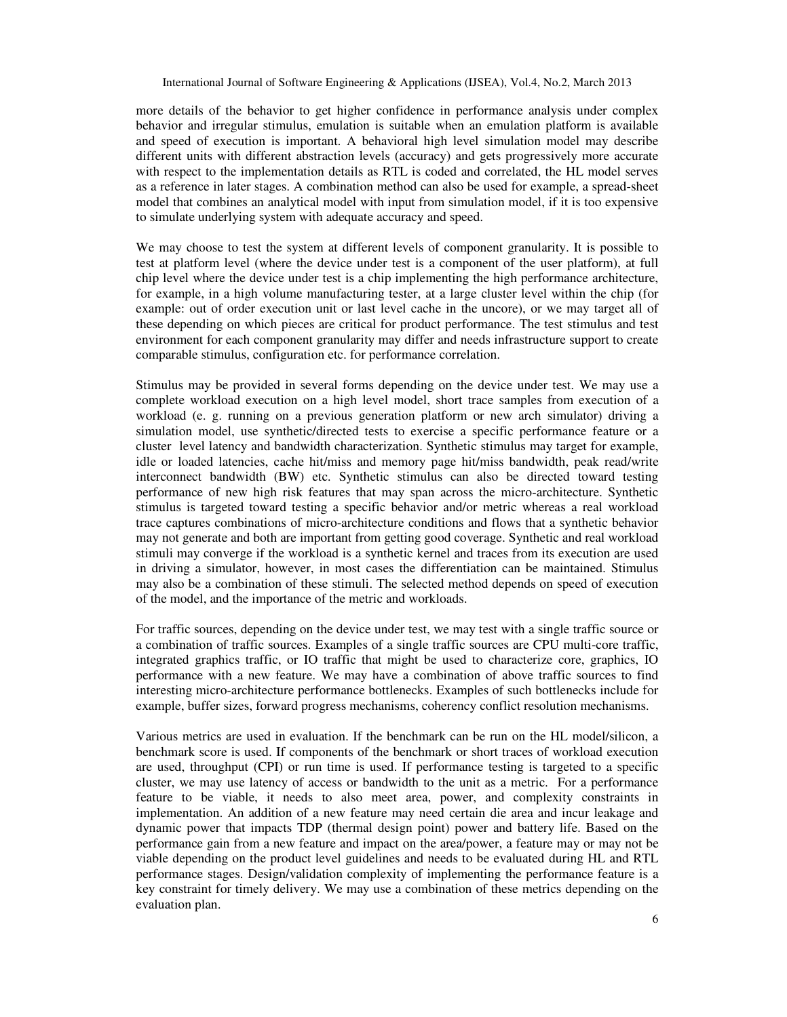more details of the behavior to get higher confidence in performance analysis under complex behavior and irregular stimulus, emulation is suitable when an emulation platform is available and speed of execution is important. A behavioral high level simulation model may describe different units with different abstraction levels (accuracy) and gets progressively more accurate with respect to the implementation details as RTL is coded and correlated, the HL model serves as a reference in later stages. A combination method can also be used for example, a spread-sheet model that combines an analytical model with input from simulation model, if it is too expensive to simulate underlying system with adequate accuracy and speed.

We may choose to test the system at different levels of component granularity. It is possible to test at platform level (where the device under test is a component of the user platform), at full chip level where the device under test is a chip implementing the high performance architecture, for example, in a high volume manufacturing tester, at a large cluster level within the chip (for example: out of order execution unit or last level cache in the uncore), or we may target all of these depending on which pieces are critical for product performance. The test stimulus and test environment for each component granularity may differ and needs infrastructure support to create comparable stimulus, configuration etc. for performance correlation.

Stimulus may be provided in several forms depending on the device under test. We may use a complete workload execution on a high level model, short trace samples from execution of a workload (e. g. running on a previous generation platform or new arch simulator) driving a simulation model, use synthetic/directed tests to exercise a specific performance feature or a cluster level latency and bandwidth characterization. Synthetic stimulus may target for example, idle or loaded latencies, cache hit/miss and memory page hit/miss bandwidth, peak read/write interconnect bandwidth (BW) etc. Synthetic stimulus can also be directed toward testing performance of new high risk features that may span across the micro-architecture. Synthetic stimulus is targeted toward testing a specific behavior and/or metric whereas a real workload trace captures combinations of micro-architecture conditions and flows that a synthetic behavior may not generate and both are important from getting good coverage. Synthetic and real workload stimuli may converge if the workload is a synthetic kernel and traces from its execution are used in driving a simulator, however, in most cases the differentiation can be maintained. Stimulus may also be a combination of these stimuli. The selected method depends on speed of execution of the model, and the importance of the metric and workloads.

For traffic sources, depending on the device under test, we may test with a single traffic source or a combination of traffic sources. Examples of a single traffic sources are CPU multi-core traffic, integrated graphics traffic, or IO traffic that might be used to characterize core, graphics, IO performance with a new feature. We may have a combination of above traffic sources to find interesting micro-architecture performance bottlenecks. Examples of such bottlenecks include for example, buffer sizes, forward progress mechanisms, coherency conflict resolution mechanisms.

Various metrics are used in evaluation. If the benchmark can be run on the HL model/silicon, a benchmark score is used. If components of the benchmark or short traces of workload execution are used, throughput (CPI) or run time is used. If performance testing is targeted to a specific cluster, we may use latency of access or bandwidth to the unit as a metric. For a performance feature to be viable, it needs to also meet area, power, and complexity constraints in implementation. An addition of a new feature may need certain die area and incur leakage and dynamic power that impacts TDP (thermal design point) power and battery life. Based on the performance gain from a new feature and impact on the area/power, a feature may or may not be viable depending on the product level guidelines and needs to be evaluated during HL and RTL performance stages. Design/validation complexity of implementing the performance feature is a key constraint for timely delivery. We may use a combination of these metrics depending on the evaluation plan.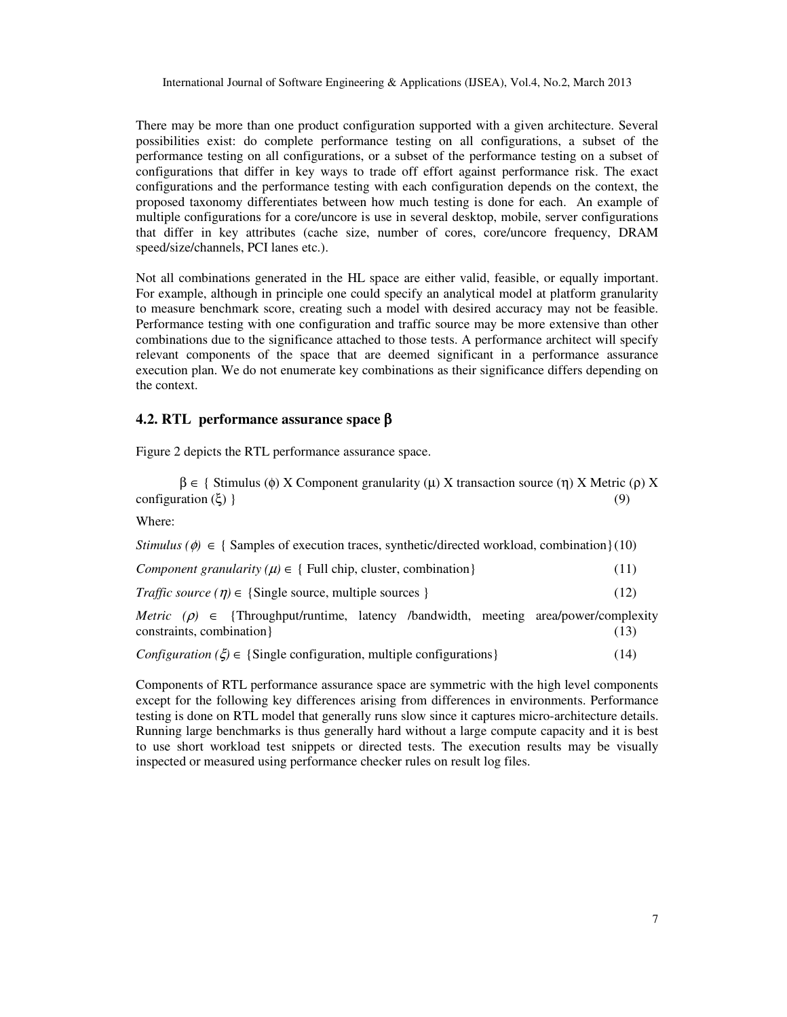There may be more than one product configuration supported with a given architecture. Several possibilities exist: do complete performance testing on all configurations, a subset of the performance testing on all configurations, or a subset of the performance testing on a subset of configurations that differ in key ways to trade off effort against performance risk. The exact configurations and the performance testing with each configuration depends on the context, the proposed taxonomy differentiates between how much testing is done for each. An example of multiple configurations for a core/uncore is use in several desktop, mobile, server configurations that differ in key attributes (cache size, number of cores, core/uncore frequency, DRAM speed/size/channels, PCI lanes etc.).

Not all combinations generated in the HL space are either valid, feasible, or equally important. For example, although in principle one could specify an analytical model at platform granularity to measure benchmark score, creating such a model with desired accuracy may not be feasible. Performance testing with one configuration and traffic source may be more extensive than other combinations due to the significance attached to those tests. A performance architect will specify relevant components of the space that are deemed significant in a performance assurance execution plan. We do not enumerate key combinations as their significance differs depending on the context.

#### **4.2. RTL performance assurance space** β

Figure 2 depicts the RTL performance assurance space.

 $\beta \in \{$  Stimulus (φ) X Component granularity (μ) X transaction source (η) X Metric (ρ) X configuration  $(\xi)$  } (9)

Where:

| <i>Stimulus</i> ( $\phi$ ) $\in$ { Samples of execution traces, synthetic/directed workload, combination {(10))                |      |
|--------------------------------------------------------------------------------------------------------------------------------|------|
| Component granularity ( $\mu$ ) $\in$ { Full chip, cluster, combination}                                                       | (11) |
| <i>Traffic source</i> ( $\eta$ ) $\in$ {Single source, multiple sources }                                                      | (12) |
| <i>Metric</i> $(\rho) \in \{Throughtr$ untime, latency /bandwidth, meeting area/power/complexity<br>constraints, combination } | (13) |
| <i>Configuration</i> ( $\xi$ ) $\in$ {Single configuration, multiple configurations}                                           | (14) |

Components of RTL performance assurance space are symmetric with the high level components except for the following key differences arising from differences in environments. Performance testing is done on RTL model that generally runs slow since it captures micro-architecture details. Running large benchmarks is thus generally hard without a large compute capacity and it is best to use short workload test snippets or directed tests. The execution results may be visually inspected or measured using performance checker rules on result log files.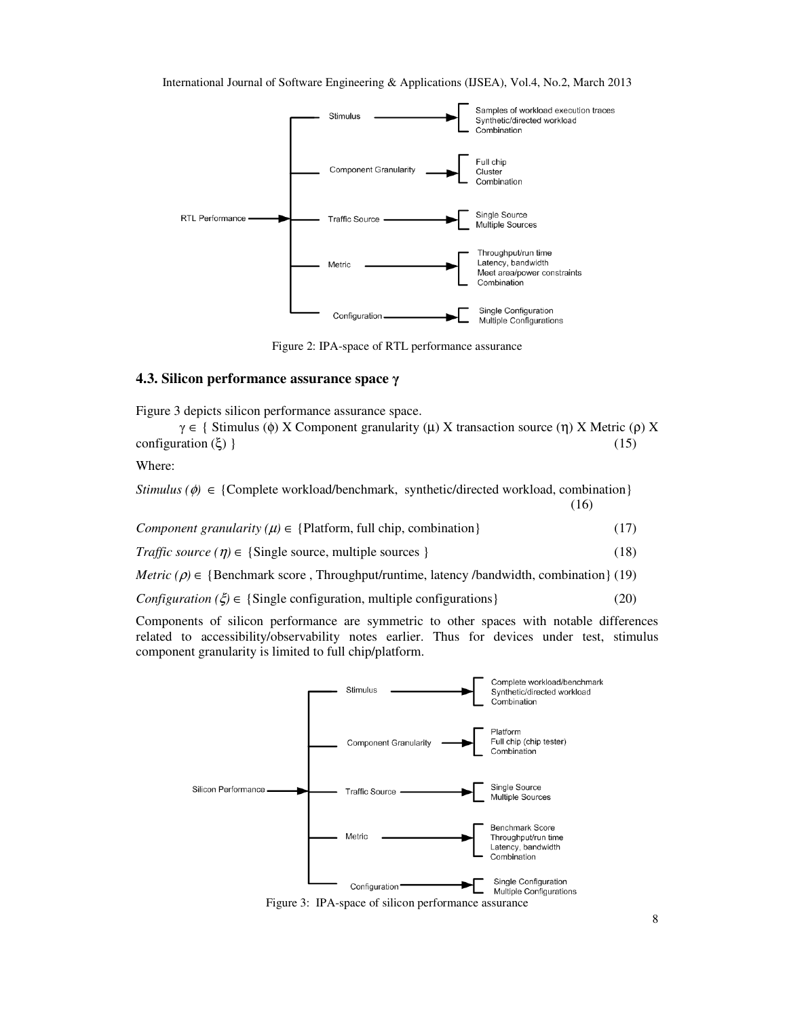

Figure 2: IPA-space of RTL performance assurance

#### **4.3. Silicon performance assurance space** γ

Figure 3 depicts silicon performance assurance space.

 $\gamma \in \{$  Stimulus (φ) X Component granularity (μ) X transaction source (η) X Metric (ρ) X configuration  $(\xi)$  } (15)

Where:

*Stimulus (ϕ)* ∈ {Complete workload/benchmark, synthetic/directed workload, combination} (16)

|  | <i>Component granularity</i> ( $\mu$ ) $\in$ {Platform, full chip, combination} |  |
|--|---------------------------------------------------------------------------------|--|
|--|---------------------------------------------------------------------------------|--|

*Traffic source* ( $\eta$ ) ∈ {Single source, multiple sources } (18)

*Metric* ( $\rho$ )  $\in$  {Benchmark score, Throughput/runtime, latency /bandwidth, combination { (19)

*Configuration* ( $\xi$ ) ∈ {Single configuration, multiple configurations} (20)

Components of silicon performance are symmetric to other spaces with notable differences related to accessibility/observability notes earlier. Thus for devices under test, stimulus component granularity is limited to full chip/platform.



Figure 3: IPA-space of silicon performance assurance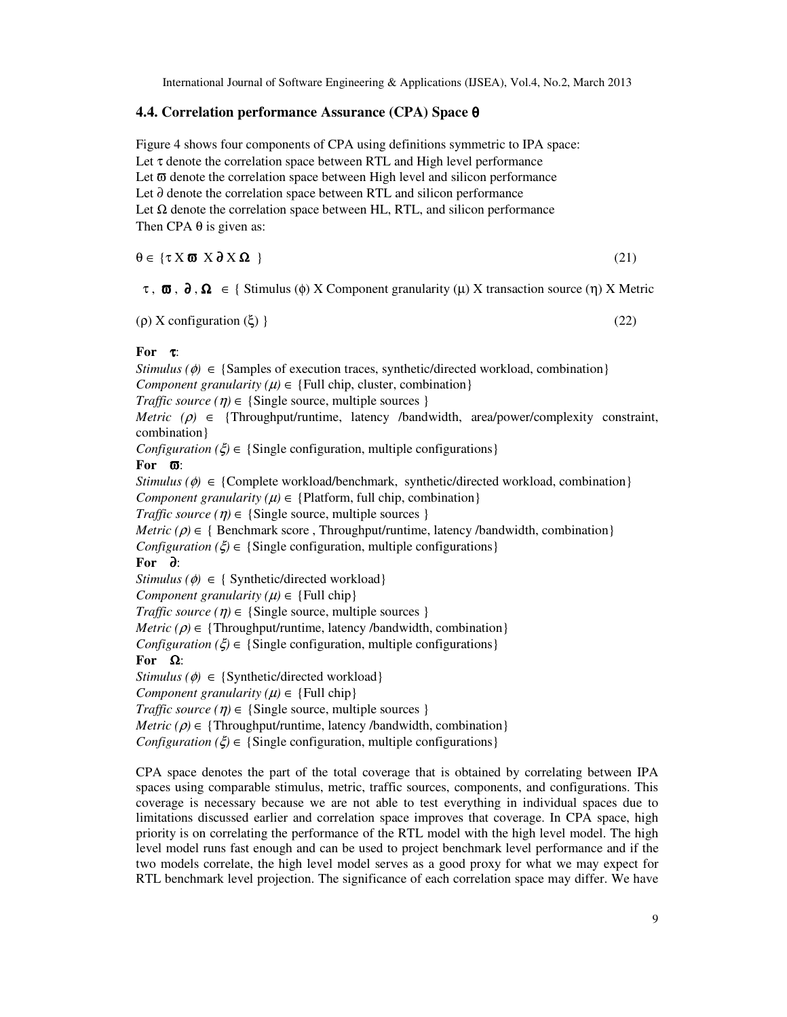# **4.4. Correlation performance Assurance (CPA) Space** θ

Figure 4 shows four components of CPA using definitions symmetric to IPA space: Let  $\tau$  denote the correlation space between RTL and High level performance Let  $\overline{\omega}$  denote the correlation space between High level and silicon performance Let ∂ denote the correlation space between RTL and silicon performance Let  $\Omega$  denote the correlation space between HL, RTL, and silicon performance Then CPA  $\theta$  is given as:

$$
\theta \in \{ \tau X \mathbf{\Omega} \times \mathbf{\partial} X \mathbf{\Omega} \}
$$
 (21)

 $τ$ ,  $σ$ ,  $∂$ ,  $Ω ∈ {Stimulus (φ) X Component granularity (μ) X transaction source (η) X Metric$ 

( $\rho$ ) X configuration ( $\xi$ ) } (22)

# **For** τ:

*Stimulus* ( $\phi$ ) ∈ {Samples of execution traces, synthetic/directed workload, combination} *Component granularity*  $(\mu) \in \{Full chip, cluster, combination\}$ *Traffic source* ( $\eta$ )  $\in$  {Single source, multiple sources } *Metric* ( $\rho$ ) ∈ {Throughput/runtime, latency /bandwidth, area/power/complexity constraint, combination} *Configuration (*ξ*)* ∈ {Single configuration, multiple configurations} **For** ϖ: *Stimulus* ( $\phi$ )  $\in$  {Complete workload/benchmark, synthetic/directed workload, combination} *Component granularity*  $(\mu) \in \{Platform, full chip, combination\}$ *Traffic source* ( $\eta$ )  $\in$  {Single source, multiple sources } *Metric* ( $\rho$ )  $\in$  { Benchmark score, Throughput/runtime, latency /bandwidth, combination} *Configuration* ( $\zeta$ )  $\in$  {Single configuration, multiple configurations} **For** ∂: *Stimulus* ( $\phi$ )  $\in$  { Synthetic/directed workload} *Component granularity*  $(\mu) \in \{Full chip\}$ *Traffic source* ( $\eta$ )  $\in$  {Single source, multiple sources } *Metric* ( $\rho$ )  $\in$  {Throughput/runtime, latency /bandwidth, combination} *Configuration* ( $\zeta$ )  $\in$  {Single configuration, multiple configurations} **For** Ω: *Stimulus* ( $\phi$ )  $\in$  {Synthetic/directed workload} *Component granularity* ( $\mu$ )  $\in$  {Full chip} *Traffic source* ( $\eta$ )  $\in$  {Single source, multiple sources } *Metric* ( $\rho$ )  $\in$  {Throughput/runtime, latency /bandwidth, combination} *Configuration* ( $\xi$ )  $\in$  {Single configuration, multiple configurations}

CPA space denotes the part of the total coverage that is obtained by correlating between IPA spaces using comparable stimulus, metric, traffic sources, components, and configurations. This coverage is necessary because we are not able to test everything in individual spaces due to limitations discussed earlier and correlation space improves that coverage. In CPA space, high priority is on correlating the performance of the RTL model with the high level model. The high level model runs fast enough and can be used to project benchmark level performance and if the two models correlate, the high level model serves as a good proxy for what we may expect for RTL benchmark level projection. The significance of each correlation space may differ. We have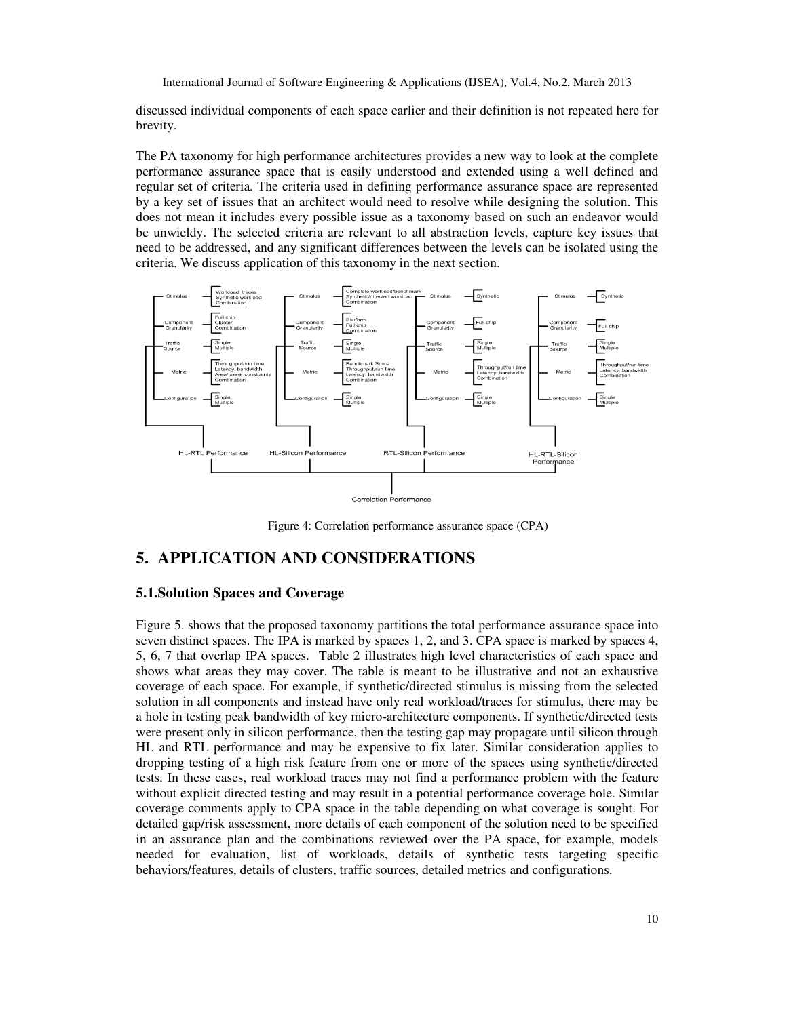discussed individual components of each space earlier and their definition is not repeated here for brevity.

The PA taxonomy for high performance architectures provides a new way to look at the complete performance assurance space that is easily understood and extended using a well defined and regular set of criteria. The criteria used in defining performance assurance space are represented by a key set of issues that an architect would need to resolve while designing the solution. This does not mean it includes every possible issue as a taxonomy based on such an endeavor would be unwieldy. The selected criteria are relevant to all abstraction levels, capture key issues that need to be addressed, and any significant differences between the levels can be isolated using the criteria. We discuss application of this taxonomy in the next section.



Figure 4: Correlation performance assurance space (CPA)

# **5. APPLICATION AND CONSIDERATIONS**

#### **5.1.Solution Spaces and Coverage**

Figure 5. shows that the proposed taxonomy partitions the total performance assurance space into seven distinct spaces. The IPA is marked by spaces 1, 2, and 3. CPA space is marked by spaces 4, 5, 6, 7 that overlap IPA spaces. Table 2 illustrates high level characteristics of each space and shows what areas they may cover. The table is meant to be illustrative and not an exhaustive coverage of each space. For example, if synthetic/directed stimulus is missing from the selected solution in all components and instead have only real workload/traces for stimulus, there may be a hole in testing peak bandwidth of key micro-architecture components. If synthetic/directed tests were present only in silicon performance, then the testing gap may propagate until silicon through HL and RTL performance and may be expensive to fix later. Similar consideration applies to dropping testing of a high risk feature from one or more of the spaces using synthetic/directed tests. In these cases, real workload traces may not find a performance problem with the feature without explicit directed testing and may result in a potential performance coverage hole. Similar coverage comments apply to CPA space in the table depending on what coverage is sought. For detailed gap/risk assessment, more details of each component of the solution need to be specified in an assurance plan and the combinations reviewed over the PA space, for example, models needed for evaluation, list of workloads, details of synthetic tests targeting specific behaviors/features, details of clusters, traffic sources, detailed metrics and configurations.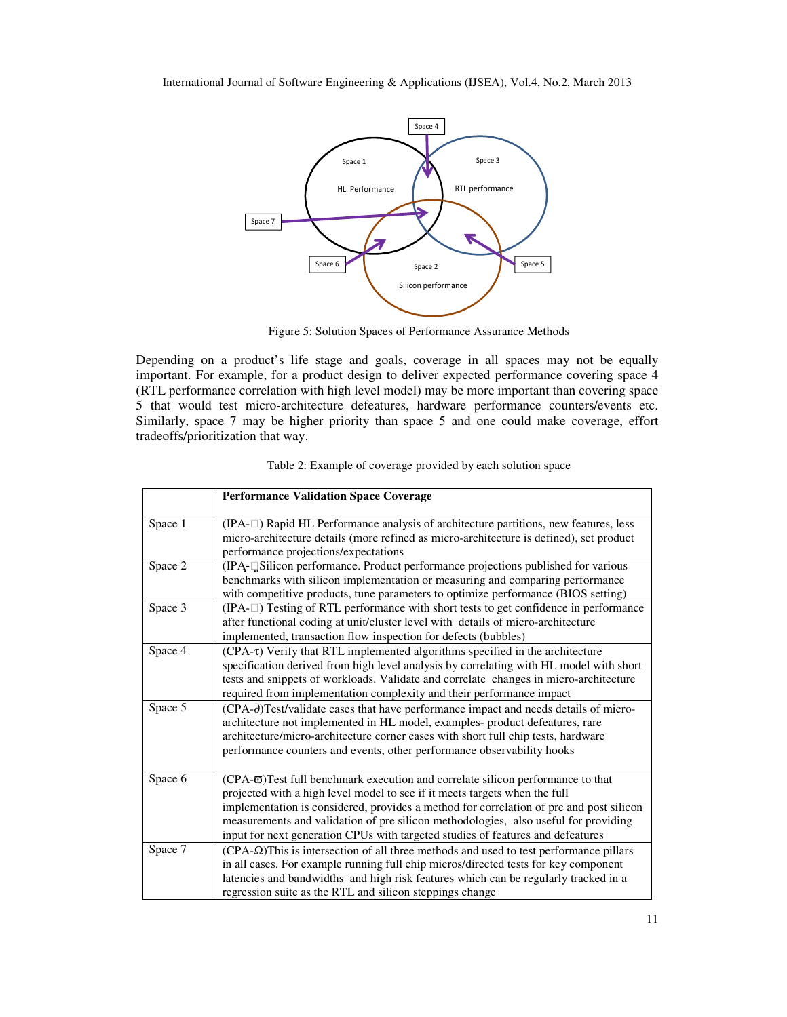

Figure 5: Solution Spaces of Performance Assurance Methods

Depending on a product's life stage and goals, coverage in all spaces may not be equally important. For example, for a product design to deliver expected performance covering space 4 (RTL performance correlation with high level model) may be more important than covering space 5 that would test micro-architecture defeatures, hardware performance counters/events etc. Similarly, space 7 may be higher priority than space 5 and one could make coverage, effort tradeoffs/prioritization that way.

|         | <b>Performance Validation Space Coverage</b>                                                                                                                                                                                                                                                                                                                                                                                                          |
|---------|-------------------------------------------------------------------------------------------------------------------------------------------------------------------------------------------------------------------------------------------------------------------------------------------------------------------------------------------------------------------------------------------------------------------------------------------------------|
| Space 1 | (IPA- $\Box$ ) Rapid HL Performance analysis of architecture partitions, new features, less<br>micro-architecture details (more refined as micro-architecture is defined), set product<br>performance projections/expectations                                                                                                                                                                                                                        |
| Space 2 | (IPA-CSilicon performance. Product performance projections published for various<br>benchmarks with silicon implementation or measuring and comparing performance<br>with competitive products, tune parameters to optimize performance (BIOS setting)                                                                                                                                                                                                |
| Space 3 | (IPA- $\Box$ ) Testing of RTL performance with short tests to get confidence in performance<br>after functional coding at unit/cluster level with details of micro-architecture<br>implemented, transaction flow inspection for defects (bubbles)                                                                                                                                                                                                     |
| Space 4 | (CPA- $\tau$ ) Verify that RTL implemented algorithms specified in the architecture<br>specification derived from high level analysis by correlating with HL model with short<br>tests and snippets of workloads. Validate and correlate changes in micro-architecture<br>required from implementation complexity and their performance impact                                                                                                        |
| Space 5 | (CPA-d)Test/validate cases that have performance impact and needs details of micro-<br>architecture not implemented in HL model, examples- product defeatures, rare<br>architecture/micro-architecture corner cases with short full chip tests, hardware<br>performance counters and events, other performance observability hooks                                                                                                                    |
| Space 6 | (CPA- $\overline{\omega}$ )Test full benchmark execution and correlate silicon performance to that<br>projected with a high level model to see if it meets targets when the full<br>implementation is considered, provides a method for correlation of pre and post silicon<br>measurements and validation of pre silicon methodologies, also useful for providing<br>input for next generation CPUs with targeted studies of features and defeatures |
| Space 7 | $(CPA-\Omega)$ This is intersection of all three methods and used to test performance pillars<br>in all cases. For example running full chip micros/directed tests for key component<br>latencies and bandwidths and high risk features which can be regularly tracked in a<br>regression suite as the RTL and silicon steppings change                                                                                                               |

| Table 2: Example of coverage provided by each solution space |
|--------------------------------------------------------------|
|--------------------------------------------------------------|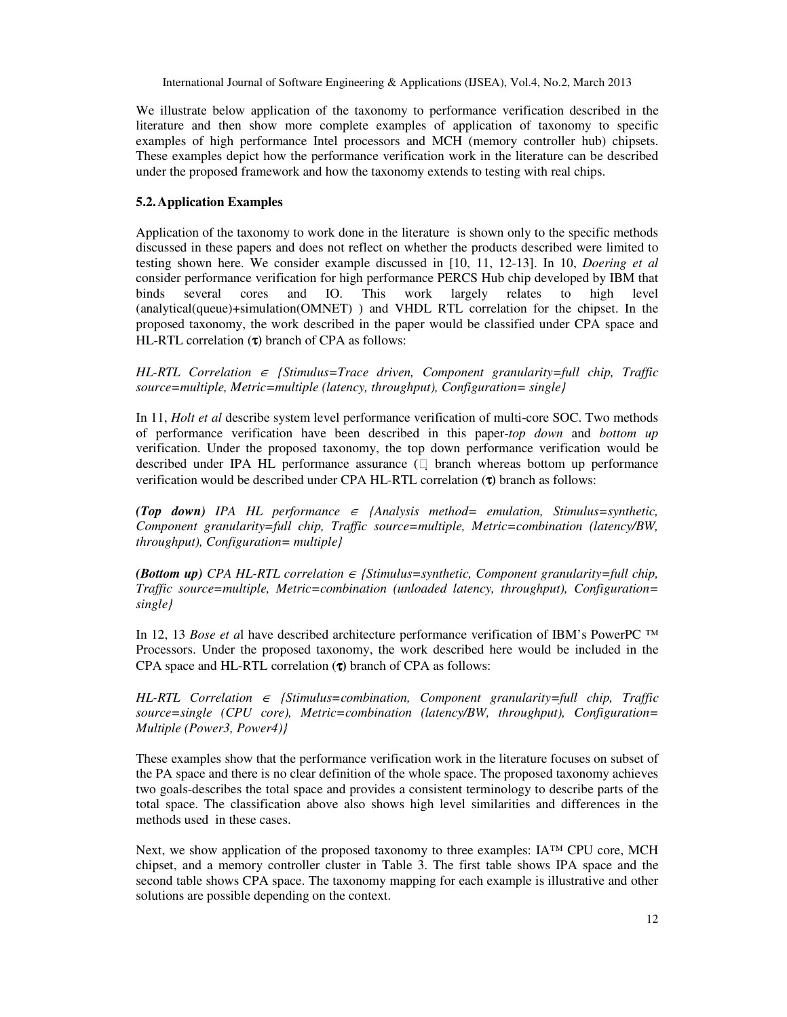We illustrate below application of the taxonomy to performance verification described in the literature and then show more complete examples of application of taxonomy to specific examples of high performance Intel processors and MCH (memory controller hub) chipsets. These examples depict how the performance verification work in the literature can be described under the proposed framework and how the taxonomy extends to testing with real chips.

### **5.2.Application Examples**

Application of the taxonomy to work done in the literature is shown only to the specific methods discussed in these papers and does not reflect on whether the products described were limited to testing shown here. We consider example discussed in [10, 11, 12-13]. In 10, *Doering et al* consider performance verification for high performance PERCS Hub chip developed by IBM that binds several cores and IO. This work largely relates to high level (analytical(queue)+simulation(OMNET) ) and VHDL RTL correlation for the chipset. In the proposed taxonomy, the work described in the paper would be classified under CPA space and HL-RTL correlation (τ**)** branch of CPA as follows:

*HL-RTL Correlation* ∈ *{Stimulus=Trace driven, Component granularity=full chip, Traffic source=multiple, Metric=multiple (latency, throughput), Configuration= single}* 

In 11, *Holt et al* describe system level performance verification of multi-core SOC. Two methods of performance verification have been described in this paper-*top down* and *bottom up* verification. Under the proposed taxonomy, the top down performance verification would be described under IPA HL performance assurance  $(\Box)$  branch whereas bottom up performance verification would be described under CPA HL-RTL correlation (τ**)** branch as follows:

*(Top down) IPA HL performance* ∈ *{Analysis method= emulation, Stimulus=synthetic, Component granularity=full chip, Traffic source=multiple, Metric=combination (latency/BW, throughput), Configuration= multiple}* 

 $$ *Traffic source=multiple, Metric=combination (unloaded latency, throughput), Configuration= single}* 

In 12, 13 *Bose et a*l have described architecture performance verification of IBM's PowerPC ™ Processors. Under the proposed taxonomy, the work described here would be included in the CPA space and HL-RTL correlation (τ**)** branch of CPA as follows:

*HL-RTL Correlation* ∈ *{Stimulus=combination, Component granularity=full chip, Traffic source=single (CPU core), Metric=combination (latency/BW, throughput), Configuration= Multiple (Power3, Power4)}* 

These examples show that the performance verification work in the literature focuses on subset of the PA space and there is no clear definition of the whole space. The proposed taxonomy achieves two goals-describes the total space and provides a consistent terminology to describe parts of the total space. The classification above also shows high level similarities and differences in the methods used in these cases.

Next, we show application of the proposed taxonomy to three examples: IA™ CPU core, MCH chipset, and a memory controller cluster in Table 3. The first table shows IPA space and the second table shows CPA space. The taxonomy mapping for each example is illustrative and other solutions are possible depending on the context.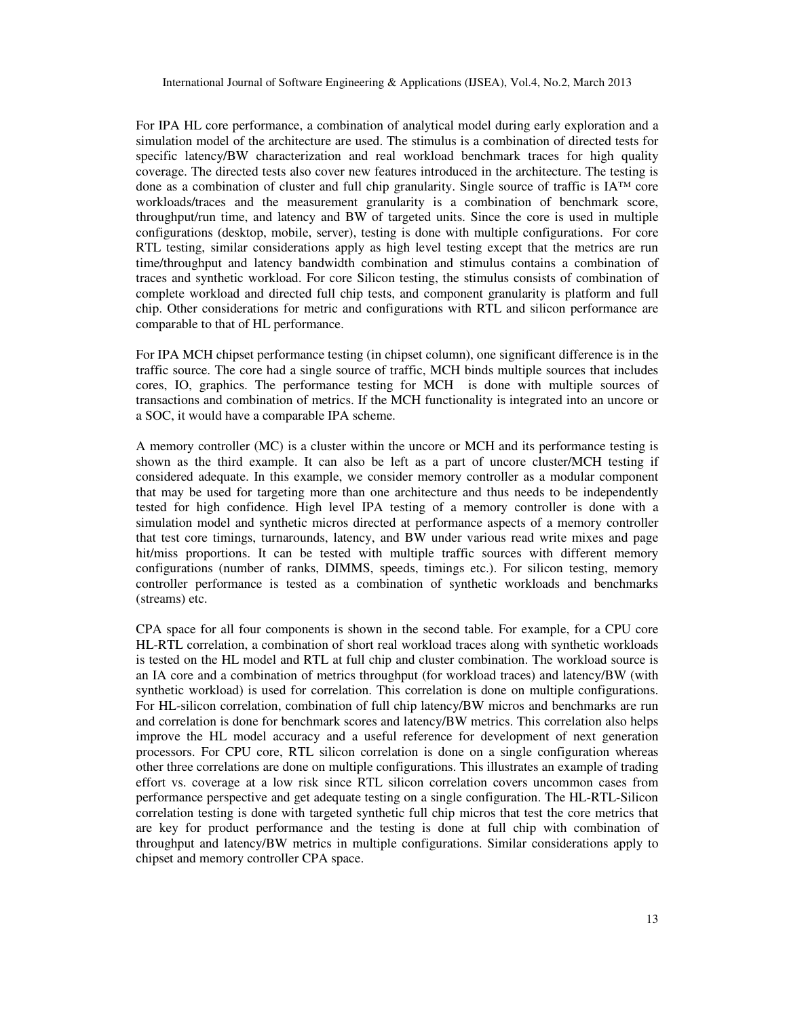For IPA HL core performance, a combination of analytical model during early exploration and a simulation model of the architecture are used. The stimulus is a combination of directed tests for specific latency/BW characterization and real workload benchmark traces for high quality coverage. The directed tests also cover new features introduced in the architecture. The testing is done as a combination of cluster and full chip granularity. Single source of traffic is IA™ core workloads/traces and the measurement granularity is a combination of benchmark score, throughput/run time, and latency and BW of targeted units. Since the core is used in multiple configurations (desktop, mobile, server), testing is done with multiple configurations. For core RTL testing, similar considerations apply as high level testing except that the metrics are run time/throughput and latency bandwidth combination and stimulus contains a combination of traces and synthetic workload. For core Silicon testing, the stimulus consists of combination of complete workload and directed full chip tests, and component granularity is platform and full chip. Other considerations for metric and configurations with RTL and silicon performance are comparable to that of HL performance.

For IPA MCH chipset performance testing (in chipset column), one significant difference is in the traffic source. The core had a single source of traffic, MCH binds multiple sources that includes cores, IO, graphics. The performance testing for MCH is done with multiple sources of transactions and combination of metrics. If the MCH functionality is integrated into an uncore or a SOC, it would have a comparable IPA scheme.

A memory controller (MC) is a cluster within the uncore or MCH and its performance testing is shown as the third example. It can also be left as a part of uncore cluster/MCH testing if considered adequate. In this example, we consider memory controller as a modular component that may be used for targeting more than one architecture and thus needs to be independently tested for high confidence. High level IPA testing of a memory controller is done with a simulation model and synthetic micros directed at performance aspects of a memory controller that test core timings, turnarounds, latency, and BW under various read write mixes and page hit/miss proportions. It can be tested with multiple traffic sources with different memory configurations (number of ranks, DIMMS, speeds, timings etc.). For silicon testing, memory controller performance is tested as a combination of synthetic workloads and benchmarks (streams) etc.

CPA space for all four components is shown in the second table. For example, for a CPU core HL-RTL correlation, a combination of short real workload traces along with synthetic workloads is tested on the HL model and RTL at full chip and cluster combination. The workload source is an IA core and a combination of metrics throughput (for workload traces) and latency/BW (with synthetic workload) is used for correlation. This correlation is done on multiple configurations. For HL-silicon correlation, combination of full chip latency/BW micros and benchmarks are run and correlation is done for benchmark scores and latency/BW metrics. This correlation also helps improve the HL model accuracy and a useful reference for development of next generation processors. For CPU core, RTL silicon correlation is done on a single configuration whereas other three correlations are done on multiple configurations. This illustrates an example of trading effort vs. coverage at a low risk since RTL silicon correlation covers uncommon cases from performance perspective and get adequate testing on a single configuration. The HL-RTL-Silicon correlation testing is done with targeted synthetic full chip micros that test the core metrics that are key for product performance and the testing is done at full chip with combination of throughput and latency/BW metrics in multiple configurations. Similar considerations apply to chipset and memory controller CPA space.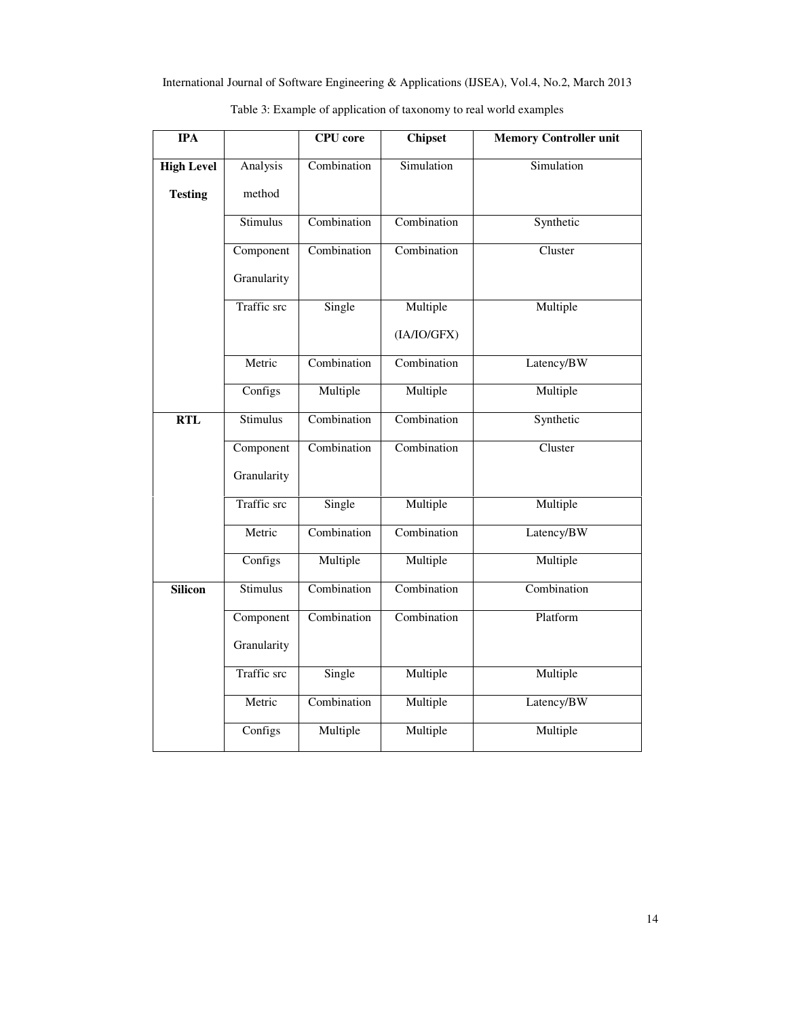| <b>IPA</b>        |             | <b>CPU</b> core | <b>Chipset</b> | <b>Memory Controller unit</b> |
|-------------------|-------------|-----------------|----------------|-------------------------------|
| <b>High Level</b> | Analysis    | Combination     | Simulation     | Simulation                    |
| <b>Testing</b>    | method      |                 |                |                               |
|                   |             |                 |                |                               |
|                   | Stimulus    | Combination     | Combination    | Synthetic                     |
|                   | Component   | Combination     | Combination    | Cluster                       |
|                   | Granularity |                 |                |                               |
|                   | Traffic src | Single          | Multiple       | Multiple                      |
|                   |             |                 | (IA/IO/GFX)    |                               |
|                   | Metric      | Combination     | Combination    | Latency/BW                    |
|                   | Configs     | Multiple        | Multiple       | Multiple                      |
| <b>RTL</b>        | Stimulus    | Combination     | Combination    | Synthetic                     |
|                   | Component   | Combination     | Combination    | Cluster                       |
|                   | Granularity |                 |                |                               |
|                   | Traffic src | Single          | Multiple       | Multiple                      |
|                   | Metric      | Combination     | Combination    | Latency/BW                    |
|                   | Configs     | Multiple        | Multiple       | Multiple                      |
| <b>Silicon</b>    | Stimulus    | Combination     | Combination    | Combination                   |
|                   | Component   | Combination     | Combination    | Platform                      |
|                   | Granularity |                 |                |                               |
|                   | Traffic src | Single          | Multiple       | Multiple                      |
|                   | Metric      | Combination     | Multiple       | Latency/BW                    |
|                   | Configs     | Multiple        | Multiple       | Multiple                      |

Table 3: Example of application of taxonomy to real world examples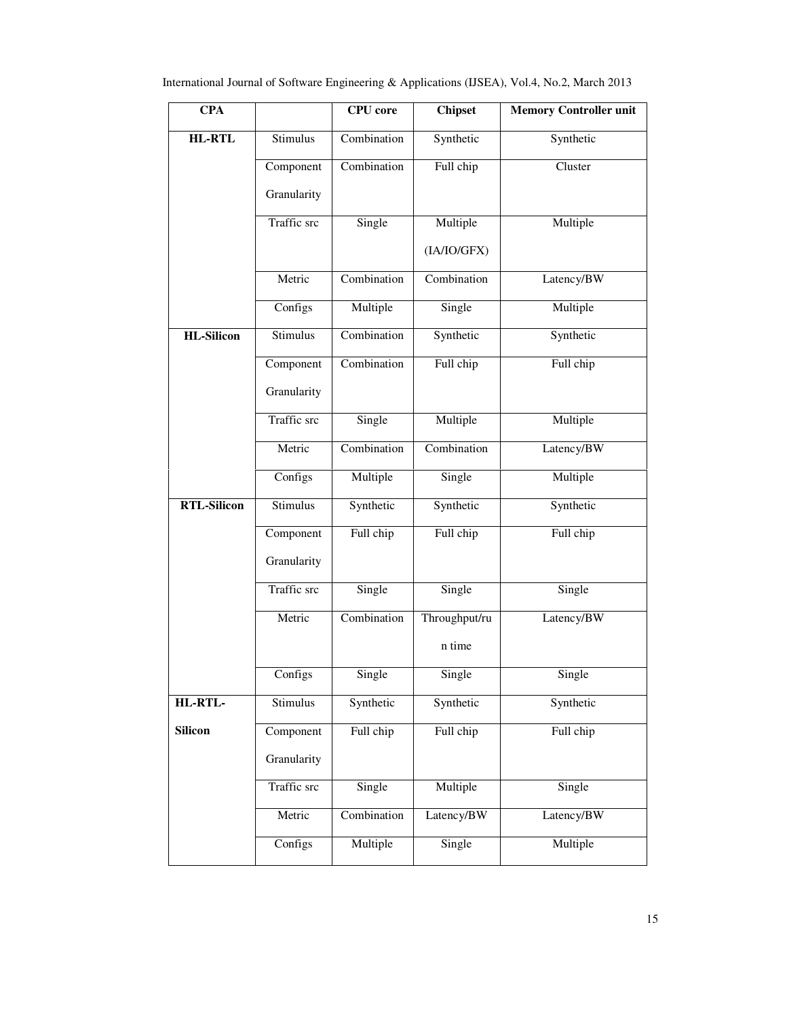International Journal of Software Engineering & Applications (IJSEA), Vol.4, No.2, March 2013

| <b>CPA</b>         |                 | $\overline{\mathbf{CPU}}$ core | <b>Chipset</b> | <b>Memory Controller unit</b> |
|--------------------|-----------------|--------------------------------|----------------|-------------------------------|
| <b>HL-RTL</b>      | Stimulus        | Combination                    | Synthetic      | Synthetic                     |
|                    | Component       | Combination                    | Full chip      | Cluster                       |
|                    | Granularity     |                                |                |                               |
|                    | Traffic src     | Single                         | Multiple       | Multiple                      |
|                    |                 |                                | (IA/IO/GFX)    |                               |
|                    | Metric          | Combination                    | Combination    | Latency/BW                    |
|                    | Configs         | Multiple                       | Single         | Multiple                      |
| <b>HL-Silicon</b>  | <b>Stimulus</b> | Combination                    | Synthetic      | Synthetic                     |
|                    | Component       | Combination                    | Full chip      | Full chip                     |
|                    | Granularity     |                                |                |                               |
|                    | Traffic src     | Single                         | Multiple       | Multiple                      |
|                    | Metric          | Combination                    | Combination    | Latency/BW                    |
|                    | Configs         | Multiple                       | Single         | Multiple                      |
| <b>RTL-Silicon</b> | Stimulus        | Synthetic                      | Synthetic      | Synthetic                     |
|                    | Component       | Full chip                      | Full chip      | Full chip                     |
|                    | Granularity     |                                |                |                               |
|                    | Traffic src     | Single                         | Single         | Single                        |
|                    | Metric          | Combination                    | Throughput/ru  | Latency/BW                    |
|                    |                 |                                | n time         |                               |
|                    | Configs         | <b>Single</b>                  | Single         | Single                        |
| HL-RTL-            | Stimulus        | Synthetic                      | Synthetic      | Synthetic                     |
| <b>Silicon</b>     | Component       | Full chip                      | Full chip      | Full chip                     |
|                    | Granularity     |                                |                |                               |
|                    | Traffic src     | Single                         | Multiple       | Single                        |
|                    | Metric          | Combination                    | Latency/BW     | Latency/BW                    |
|                    | Configs         | Multiple                       | Single         | Multiple                      |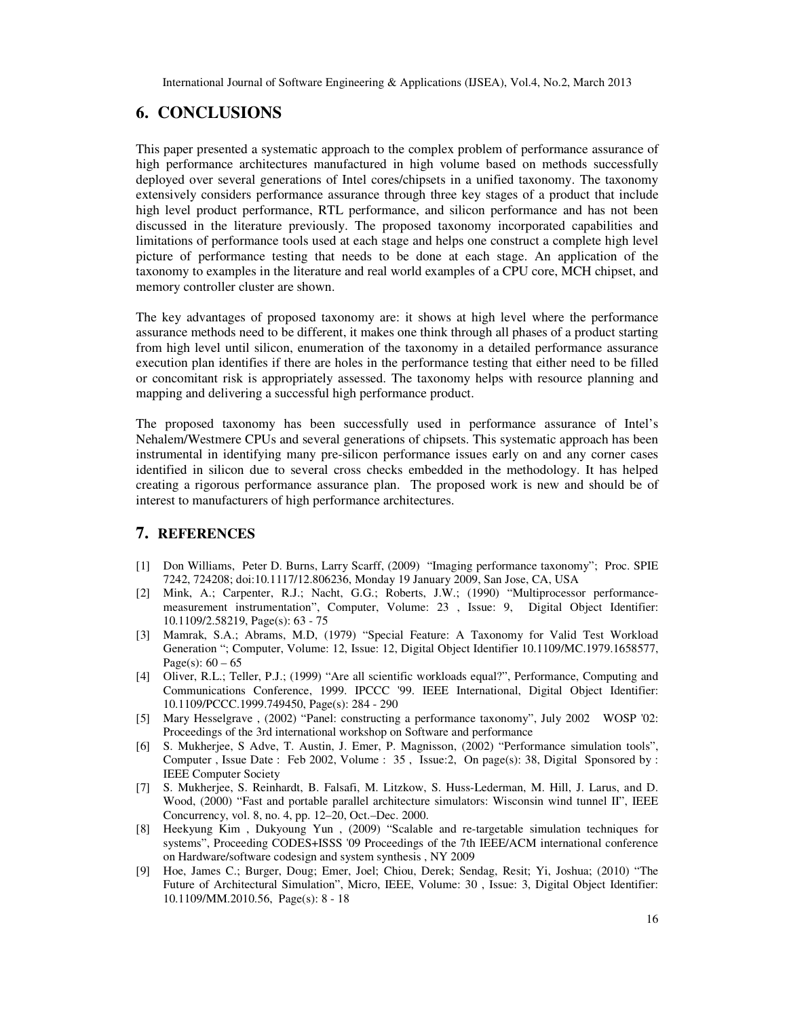# **6. CONCLUSIONS**

This paper presented a systematic approach to the complex problem of performance assurance of high performance architectures manufactured in high volume based on methods successfully deployed over several generations of Intel cores/chipsets in a unified taxonomy. The taxonomy extensively considers performance assurance through three key stages of a product that include high level product performance, RTL performance, and silicon performance and has not been discussed in the literature previously. The proposed taxonomy incorporated capabilities and limitations of performance tools used at each stage and helps one construct a complete high level picture of performance testing that needs to be done at each stage. An application of the taxonomy to examples in the literature and real world examples of a CPU core, MCH chipset, and memory controller cluster are shown.

The key advantages of proposed taxonomy are: it shows at high level where the performance assurance methods need to be different, it makes one think through all phases of a product starting from high level until silicon, enumeration of the taxonomy in a detailed performance assurance execution plan identifies if there are holes in the performance testing that either need to be filled or concomitant risk is appropriately assessed. The taxonomy helps with resource planning and mapping and delivering a successful high performance product.

The proposed taxonomy has been successfully used in performance assurance of Intel's Nehalem/Westmere CPUs and several generations of chipsets. This systematic approach has been instrumental in identifying many pre-silicon performance issues early on and any corner cases identified in silicon due to several cross checks embedded in the methodology. It has helped creating a rigorous performance assurance plan. The proposed work is new and should be of interest to manufacturers of high performance architectures.

### **7. REFERENCES**

- [1] Don Williams, Peter D. Burns, Larry Scarff, (2009) "Imaging performance taxonomy"; Proc. SPIE 7242, 724208; doi:10.1117/12.806236, Monday 19 January 2009, San Jose, CA, USA
- [2] Mink, A.; Carpenter, R.J.; Nacht, G.G.; Roberts, J.W.; (1990) "Multiprocessor performancemeasurement instrumentation", Computer, Volume: 23 , Issue: 9, Digital Object Identifier: 10.1109/2.58219, Page(s): 63 - 75
- [3] Mamrak, S.A.; Abrams, M.D, (1979) "Special Feature: A Taxonomy for Valid Test Workload Generation "; Computer, Volume: 12, Issue: 12, Digital Object Identifier 10.1109/MC.1979.1658577, Page(s):  $60 - 65$
- [4] Oliver, R.L.; Teller, P.J.; (1999) "Are all scientific workloads equal?", Performance, Computing and Communications Conference, 1999. IPCCC '99. IEEE International, Digital Object Identifier: 10.1109/PCCC.1999.749450, Page(s): 284 - 290
- [5] Mary Hesselgrave , (2002) "Panel: constructing a performance taxonomy", July 2002 WOSP '02: Proceedings of the 3rd international workshop on Software and performance
- [6] S. Mukherjee, S Adve, T. Austin, J. Emer, P. Magnisson, (2002) "Performance simulation tools", Computer , Issue Date : Feb 2002, Volume : 35 , Issue:2, On page(s): 38, Digital Sponsored by : IEEE Computer Society
- [7] S. Mukherjee, S. Reinhardt, B. Falsafi, M. Litzkow, S. Huss-Lederman, M. Hill, J. Larus, and D. Wood, (2000) "Fast and portable parallel architecture simulators: Wisconsin wind tunnel II", IEEE Concurrency, vol. 8, no. 4, pp. 12–20, Oct.–Dec. 2000.
- [8] Heekyung Kim , Dukyoung Yun , (2009) "Scalable and re-targetable simulation techniques for systems", Proceeding CODES+ISSS '09 Proceedings of the 7th IEEE/ACM international conference on Hardware/software codesign and system synthesis , NY 2009
- [9] Hoe, James C.; Burger, Doug; Emer, Joel; Chiou, Derek; Sendag, Resit; Yi, Joshua; (2010) "The Future of Architectural Simulation", Micro, IEEE, Volume: 30 , Issue: 3, Digital Object Identifier: 10.1109/MM.2010.56, Page(s): 8 - 18